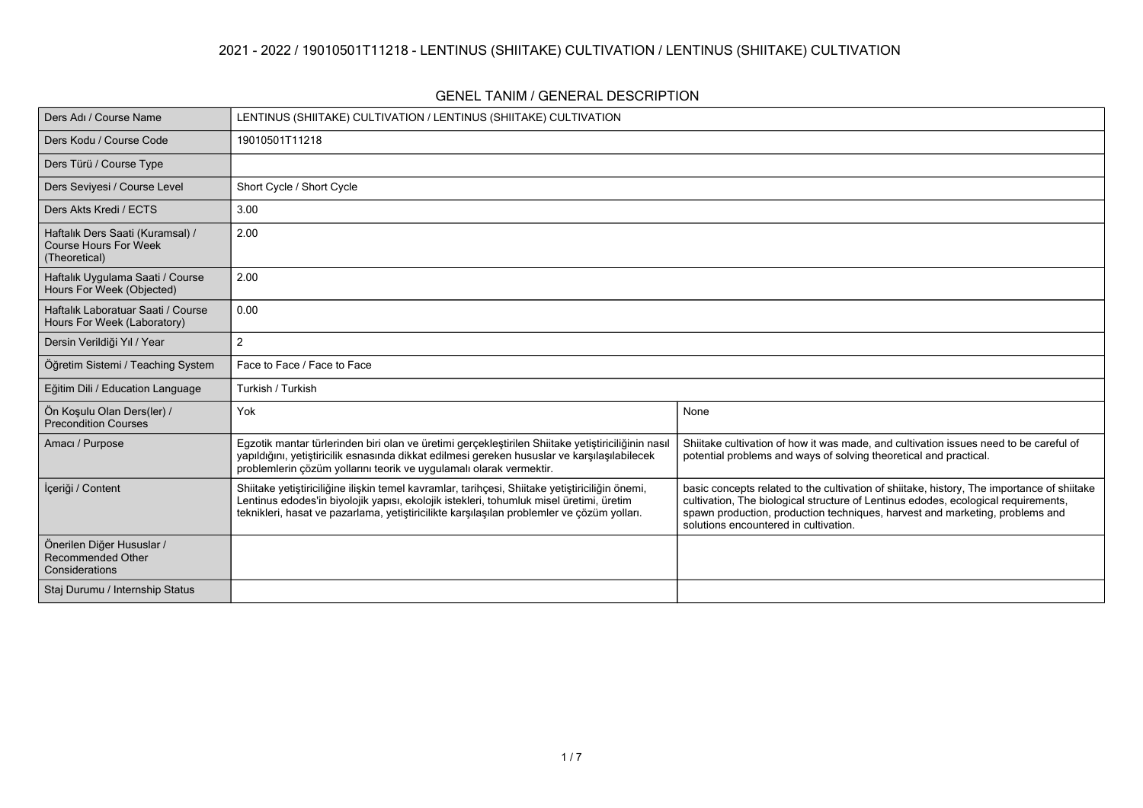## **2021 - 2022 / 19010501T11218 - LENTINUS (SHIITAKE) CULTIVATION / LENTINUS (SHIITAKE) CULTIVATION**

#### **GENEL TANIM / GENERAL DESCRIPTION**

| Ders Adı / Course Name                                                            | LENTINUS (SHIITAKE) CULTIVATION / LENTINUS (SHIITAKE) CULTIVATION                                                                                                                                                                                                                        |                                                                                                                                                                                                                                                                                                           |
|-----------------------------------------------------------------------------------|------------------------------------------------------------------------------------------------------------------------------------------------------------------------------------------------------------------------------------------------------------------------------------------|-----------------------------------------------------------------------------------------------------------------------------------------------------------------------------------------------------------------------------------------------------------------------------------------------------------|
| Ders Kodu / Course Code                                                           | 19010501T11218                                                                                                                                                                                                                                                                           |                                                                                                                                                                                                                                                                                                           |
| Ders Türü / Course Type                                                           |                                                                                                                                                                                                                                                                                          |                                                                                                                                                                                                                                                                                                           |
| Ders Seviyesi / Course Level                                                      | Short Cycle / Short Cycle                                                                                                                                                                                                                                                                |                                                                                                                                                                                                                                                                                                           |
| Ders Akts Kredi / ECTS                                                            | 3.00                                                                                                                                                                                                                                                                                     |                                                                                                                                                                                                                                                                                                           |
| Haftalık Ders Saati (Kuramsal) /<br><b>Course Hours For Week</b><br>(Theoretical) | 2.00                                                                                                                                                                                                                                                                                     |                                                                                                                                                                                                                                                                                                           |
| Haftalık Uygulama Saati / Course<br>Hours For Week (Objected)                     | 2.00                                                                                                                                                                                                                                                                                     |                                                                                                                                                                                                                                                                                                           |
| Haftalık Laboratuar Saati / Course<br>Hours For Week (Laboratory)                 | 0.00                                                                                                                                                                                                                                                                                     |                                                                                                                                                                                                                                                                                                           |
| Dersin Verildiği Yıl / Year                                                       | 2                                                                                                                                                                                                                                                                                        |                                                                                                                                                                                                                                                                                                           |
| Öğretim Sistemi / Teaching System                                                 | Face to Face / Face to Face                                                                                                                                                                                                                                                              |                                                                                                                                                                                                                                                                                                           |
| Eğitim Dili / Education Language                                                  | Turkish / Turkish                                                                                                                                                                                                                                                                        |                                                                                                                                                                                                                                                                                                           |
| Ön Koşulu Olan Ders(ler) /<br>Precondition Courses                                | Yok                                                                                                                                                                                                                                                                                      | None                                                                                                                                                                                                                                                                                                      |
| Amacı / Purpose                                                                   | Egzotik mantar türlerinden biri olan ve üretimi gerçekleştirilen Shiitake yetiştiriciliğinin nasıl<br>yapıldığını, yetiştiricilik esnasında dikkat edilmesi gereken hususlar ve karşılaşılabilecek<br>problemlerin çözüm yollarını teorik ve uygulamalı olarak vermektir.                | Shiitake cultivation of how it was made, and cultivation issues need to be careful of<br>potential problems and ways of solving theoretical and practical.                                                                                                                                                |
| İçeriği / Content                                                                 | Shiitake yetiştiriciliğine ilişkin temel kavramlar, tarihçesi, Shiitake yetiştiriciliğin önemi,<br>Lentinus edodes'in biyolojik yapısı, ekolojik istekleri, tohumluk misel üretimi, üretim<br>teknikleri, hasat ve pazarlama, yetiştiricilikte karşılaşılan problemler ve çözüm yolları. | basic concepts related to the cultivation of shiitake, history, The importance of shiitake<br>cultivation, The biological structure of Lentinus edodes, ecological requirements,<br>spawn production, production techniques, harvest and marketing, problems and<br>solutions encountered in cultivation. |
| Önerilen Diğer Hususlar /<br><b>Recommended Other</b><br>Considerations           |                                                                                                                                                                                                                                                                                          |                                                                                                                                                                                                                                                                                                           |
| Staj Durumu / Internship Status                                                   |                                                                                                                                                                                                                                                                                          |                                                                                                                                                                                                                                                                                                           |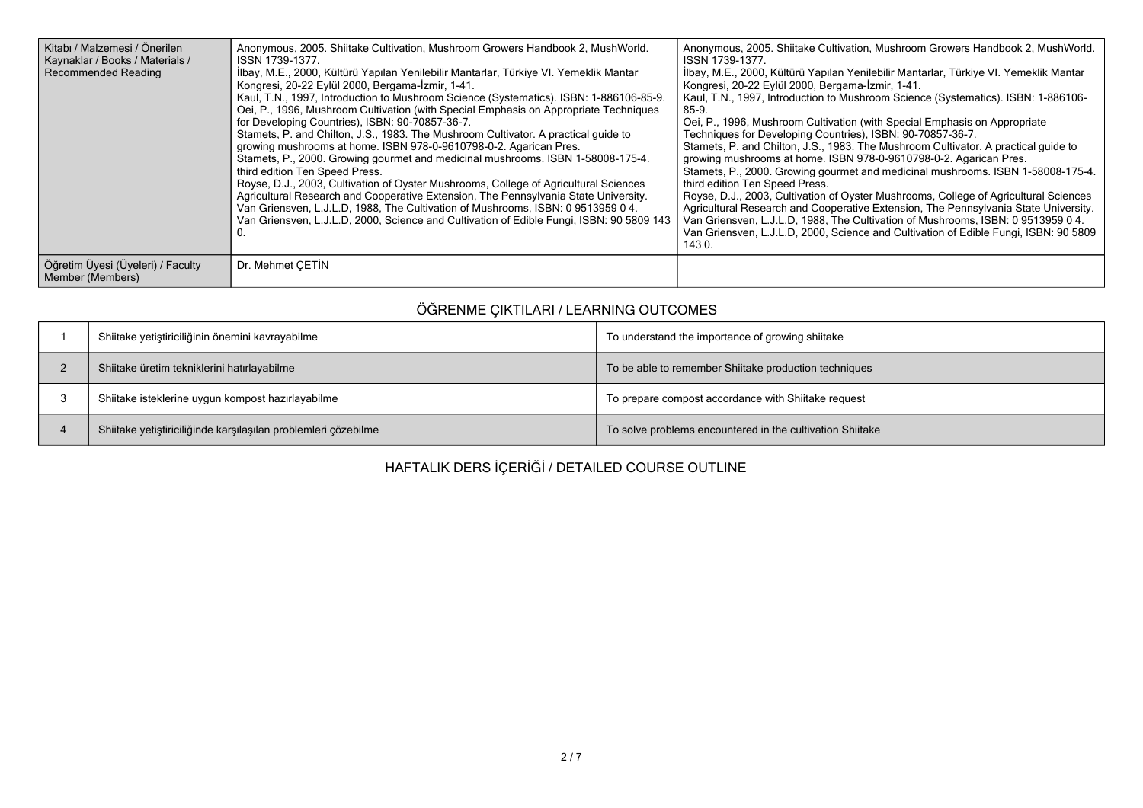| Kitabı / Malzemesi / Önerilen<br>Kaynaklar / Books / Materials /<br>Recommended Reading | Anonymous, 2005. Shiitake Cultivation, Mushroom Growers Handbook 2, MushWorld.<br>ISSN 1739-1377<br>İlbay, M.E., 2000, Kültürü Yapılan Yenilebilir Mantarlar, Türkiye VI. Yemeklik Mantar<br>Kongresi, 20-22 Eylül 2000, Bergama-İzmir, 1-41.<br>Kaul, T.N., 1997, Introduction to Mushroom Science (Systematics). ISBN: 1-886106-85-9.<br>Oei, P., 1996, Mushroom Cultivation (with Special Emphasis on Appropriate Techniques<br>for Developing Countries), ISBN: 90-70857-36-7.<br>Stamets, P. and Chilton, J.S., 1983. The Mushroom Cultivator. A practical guide to<br>growing mushrooms at home. ISBN 978-0-9610798-0-2. Agarican Pres.<br>Stamets, P., 2000. Growing gourmet and medicinal mushrooms. ISBN 1-58008-175-4.<br>third edition Ten Speed Press.<br>Royse, D.J., 2003, Cultivation of Oyster Mushrooms, College of Agricultural Sciences<br>Agricultural Research and Cooperative Extension, The Pennsylvania State University.<br>Van Griensven, L.J.L.D. 1988, The Cultivation of Mushrooms, ISBN: 0951395904.<br>Van Griensven, L.J.L.D, 2000, Science and Cultivation of Edible Fungi, ISBN: 90 5809 143 | Anonymous, 2005. Shiitake Cultivation, Mushroom Growers Handbook 2, MushWorld.<br>ISSN 1739-1377.<br>İlbay, M.E., 2000, Kültürü Yapılan Yenilebilir Mantarlar, Türkiye VI. Yemeklik Mantar<br>Kongresi, 20-22 Eylül 2000, Bergama-İzmir, 1-41.<br>Kaul, T.N., 1997, Introduction to Mushroom Science (Systematics). ISBN: 1-886106-<br>85-9.<br>Oei, P., 1996, Mushroom Cultivation (with Special Emphasis on Appropriate<br>Techniques for Developing Countries), ISBN: 90-70857-36-7.<br>Stamets, P. and Chilton, J.S., 1983. The Mushroom Cultivator. A practical guide to<br>growing mushrooms at home. ISBN 978-0-9610798-0-2. Agarican Pres.<br>Stamets, P., 2000. Growing gourmet and medicinal mushrooms. ISBN 1-58008-175-4.<br>third edition Ten Speed Press.<br>Royse, D.J., 2003, Cultivation of Oyster Mushrooms, College of Agricultural Sciences<br>Agricultural Research and Cooperative Extension, The Pennsylvania State University.<br>Van Griensven, L.J.L.D, 1988, The Cultivation of Mushrooms, ISBN: 0 9513959 0 4.<br>Van Griensven, L.J.L.D. 2000, Science and Cultivation of Edible Fungi, ISBN: 90 5809<br>143 0. |
|-----------------------------------------------------------------------------------------|--------------------------------------------------------------------------------------------------------------------------------------------------------------------------------------------------------------------------------------------------------------------------------------------------------------------------------------------------------------------------------------------------------------------------------------------------------------------------------------------------------------------------------------------------------------------------------------------------------------------------------------------------------------------------------------------------------------------------------------------------------------------------------------------------------------------------------------------------------------------------------------------------------------------------------------------------------------------------------------------------------------------------------------------------------------------------------------------------------------------------------|----------------------------------------------------------------------------------------------------------------------------------------------------------------------------------------------------------------------------------------------------------------------------------------------------------------------------------------------------------------------------------------------------------------------------------------------------------------------------------------------------------------------------------------------------------------------------------------------------------------------------------------------------------------------------------------------------------------------------------------------------------------------------------------------------------------------------------------------------------------------------------------------------------------------------------------------------------------------------------------------------------------------------------------------------------------------------------------------------------------------------------------------|
| Öğretim Üyesi (Üyeleri) / Faculty<br>Member (Members)                                   | Dr. Mehmet CETIN                                                                                                                                                                                                                                                                                                                                                                                                                                                                                                                                                                                                                                                                                                                                                                                                                                                                                                                                                                                                                                                                                                               |                                                                                                                                                                                                                                                                                                                                                                                                                                                                                                                                                                                                                                                                                                                                                                                                                                                                                                                                                                                                                                                                                                                                              |

# **ÖĞRENME ÇIKTILARI / LEARNING OUTCOMES**

| Shiitake yetiştiriciliğinin önemini kavrayabilme               | To understand the importance of growing shiitake          |
|----------------------------------------------------------------|-----------------------------------------------------------|
| Shiitake üretim tekniklerini hatırlayabilme                    | To be able to remember Shiitake production techniques     |
| Shiitake isteklerine uygun kompost hazırlayabilme              | To prepare compost accordance with Shiitake request       |
| Shiitake yetiştiriciliğinde karşılaşılan problemleri çözebilme | To solve problems encountered in the cultivation Shiitake |

**HAFTALIK DERS İÇERİĞİ / DETAILED COURSE OUTLINE**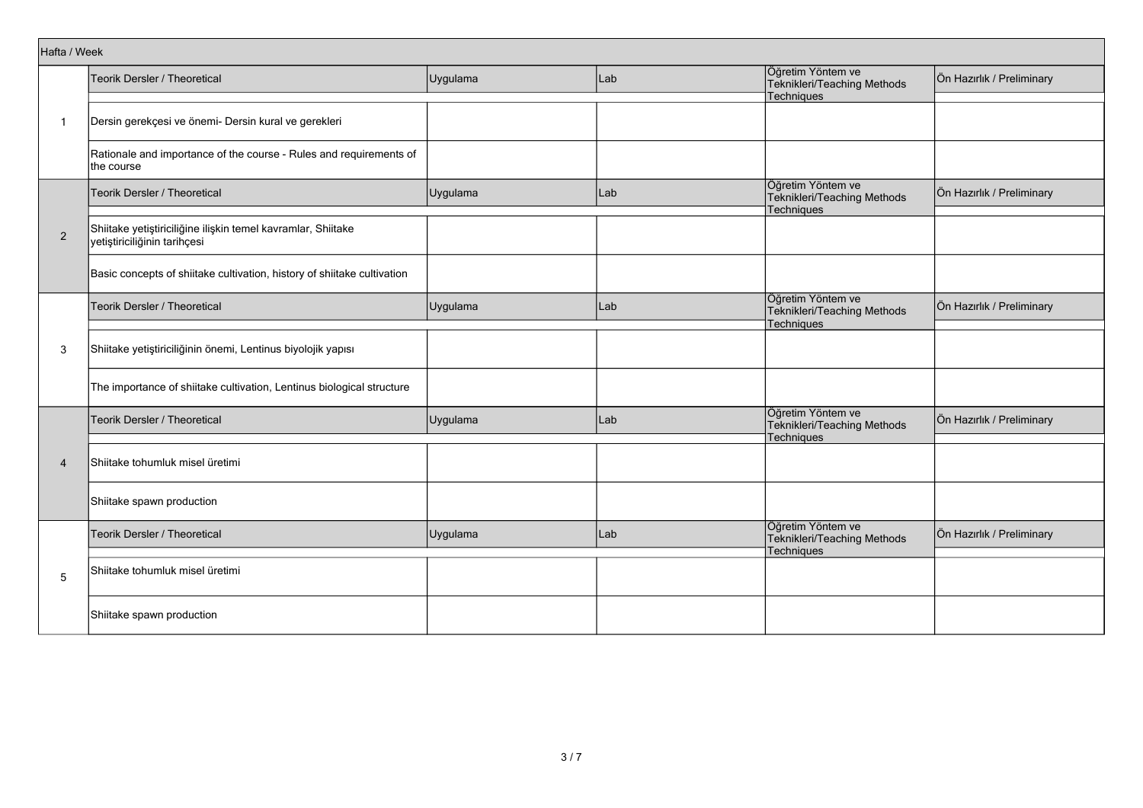|                | Hafta / Week                                                                                 |          |     |                                                                |                           |  |  |  |
|----------------|----------------------------------------------------------------------------------------------|----------|-----|----------------------------------------------------------------|---------------------------|--|--|--|
|                | Teorik Dersler / Theoretical                                                                 | Uygulama | Lab | Öğretim Yöntem ve<br>Teknikleri/Teaching Methods<br>Techniques | Ön Hazırlık / Preliminary |  |  |  |
| $\mathbf{1}$   | Dersin gerekçesi ve önemi- Dersin kural ve gerekleri                                         |          |     |                                                                |                           |  |  |  |
|                | Rationale and importance of the course - Rules and requirements of<br>the course             |          |     |                                                                |                           |  |  |  |
|                | Teorik Dersler / Theoretical                                                                 | Uygulama | Lab | Öğretim Yöntem ve<br>Teknikleri/Teaching Methods<br>Techniques | Ön Hazırlık / Preliminary |  |  |  |
| $\overline{2}$ | Shiitake yetiştiriciliğine ilişkin temel kavramlar, Shiitake<br>yetiştiriciliğinin tarihçesi |          |     |                                                                |                           |  |  |  |
|                | Basic concepts of shiitake cultivation, history of shiitake cultivation                      |          |     |                                                                |                           |  |  |  |
|                | Teorik Dersler / Theoretical                                                                 | Uygulama | Lab | Öğretim Yöntem ve<br>Teknikleri/Teaching Methods<br>Techniques | Ön Hazırlık / Preliminary |  |  |  |
| 3              | Shiitake yetiştiriciliğinin önemi, Lentinus biyolojik yapısı                                 |          |     |                                                                |                           |  |  |  |
|                | The importance of shiitake cultivation, Lentinus biological structure                        |          |     |                                                                |                           |  |  |  |
|                | <b>Teorik Dersler / Theoretical</b>                                                          | Uygulama | Lab | Öğretim Yöntem ve<br>Teknikleri/Teaching Methods<br>Techniques | Ön Hazırlık / Preliminary |  |  |  |
| $\overline{4}$ | Shiitake tohumluk misel üretimi                                                              |          |     |                                                                |                           |  |  |  |
|                | Shiitake spawn production                                                                    |          |     |                                                                |                           |  |  |  |
| 5              | Teorik Dersler / Theoretical                                                                 | Uygulama | Lab | Öğretim Yöntem ve<br>Teknikleri/Teaching Methods<br>Techniques | Ön Hazırlık / Preliminary |  |  |  |
|                | Shiitake tohumluk misel üretimi                                                              |          |     |                                                                |                           |  |  |  |
|                | Shiitake spawn production                                                                    |          |     |                                                                |                           |  |  |  |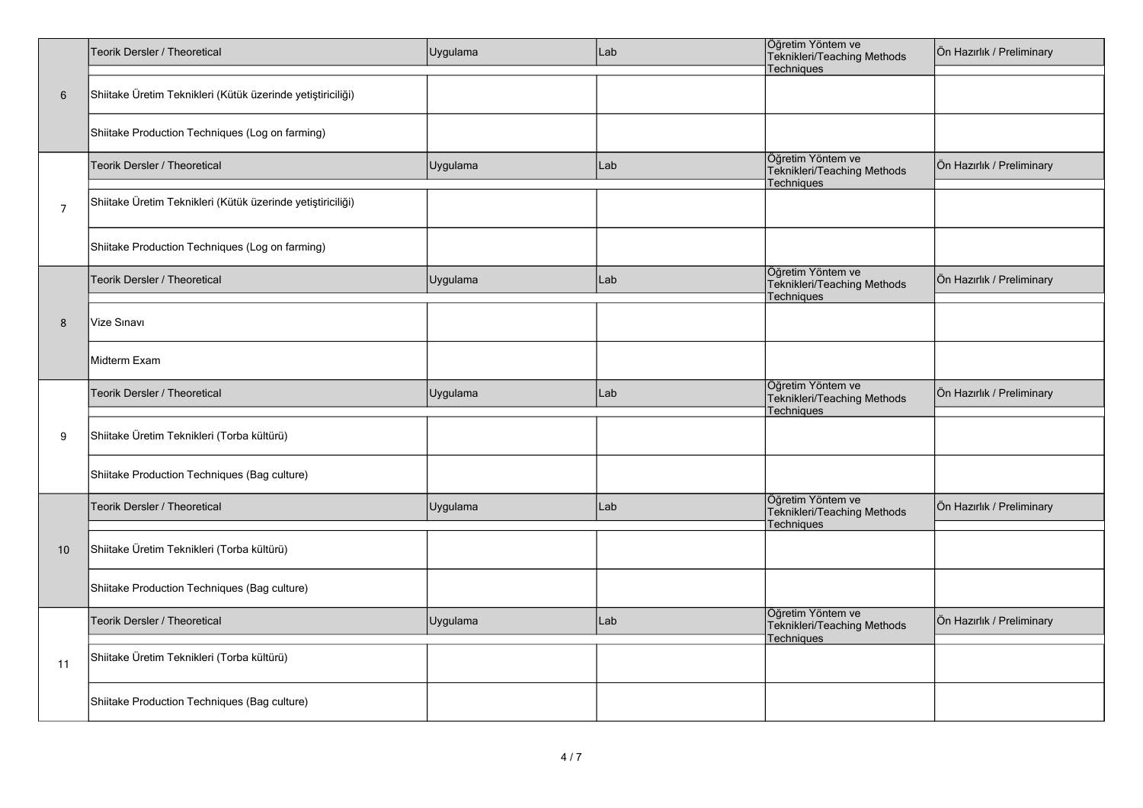|                | Teorik Dersler / Theoretical                                | Uygulama | Lab | Öğretim Yöntem ve<br>Teknikleri/Teaching Methods<br>Techniques        | Ön Hazırlık / Preliminary |
|----------------|-------------------------------------------------------------|----------|-----|-----------------------------------------------------------------------|---------------------------|
| 6              | Shiitake Üretim Teknikleri (Kütük üzerinde yetiştiriciliği) |          |     |                                                                       |                           |
|                | Shiitake Production Techniques (Log on farming)             |          |     |                                                                       |                           |
|                | Teorik Dersler / Theoretical                                | Uygulama | Lab | Öğretim Yöntem ve<br>Teknikleri/Teaching Methods<br>Techniques        | Ön Hazırlık / Preliminary |
| $\overline{7}$ | Shiitake Üretim Teknikleri (Kütük üzerinde yetiştiriciliği) |          |     |                                                                       |                           |
|                | Shiitake Production Techniques (Log on farming)             |          |     |                                                                       |                           |
|                | Teorik Dersler / Theoretical                                | Uygulama | Lab | Öğretim Yöntem ve<br>Teknikleri/Teaching Methods<br>Techniques        | Ön Hazırlık / Preliminary |
| 8              | Vize Sınavı                                                 |          |     |                                                                       |                           |
|                | Midterm Exam                                                |          |     |                                                                       |                           |
|                | Teorik Dersler / Theoretical                                | Uygulama | Lab | Öğretim Yöntem ve<br>Teknikleri/Teaching Methods<br><b>Techniques</b> | Ön Hazırlık / Preliminary |
| 9              | Shiitake Üretim Teknikleri (Torba kültürü)                  |          |     |                                                                       |                           |
|                | Shiitake Production Techniques (Bag culture)                |          |     |                                                                       |                           |
|                | Teorik Dersler / Theoretical                                | Uygulama | Lab | Öğretim Yöntem ve<br>Teknikleri/Teaching Methods<br>Techniques        | Ön Hazırlık / Preliminary |
| 10             | Shiitake Üretim Teknikleri (Torba kültürü)                  |          |     |                                                                       |                           |
|                | Shiitake Production Techniques (Bag culture)                |          |     |                                                                       |                           |
|                | Teorik Dersler / Theoretical                                | Uygulama | Lab | Öğretim Yöntem ve<br>Teknikleri/Teaching Methods<br>Techniques        | Ön Hazırlık / Preliminary |
| 11             | Shiitake Üretim Teknikleri (Torba kültürü)                  |          |     |                                                                       |                           |
|                | Shiitake Production Techniques (Bag culture)                |          |     |                                                                       |                           |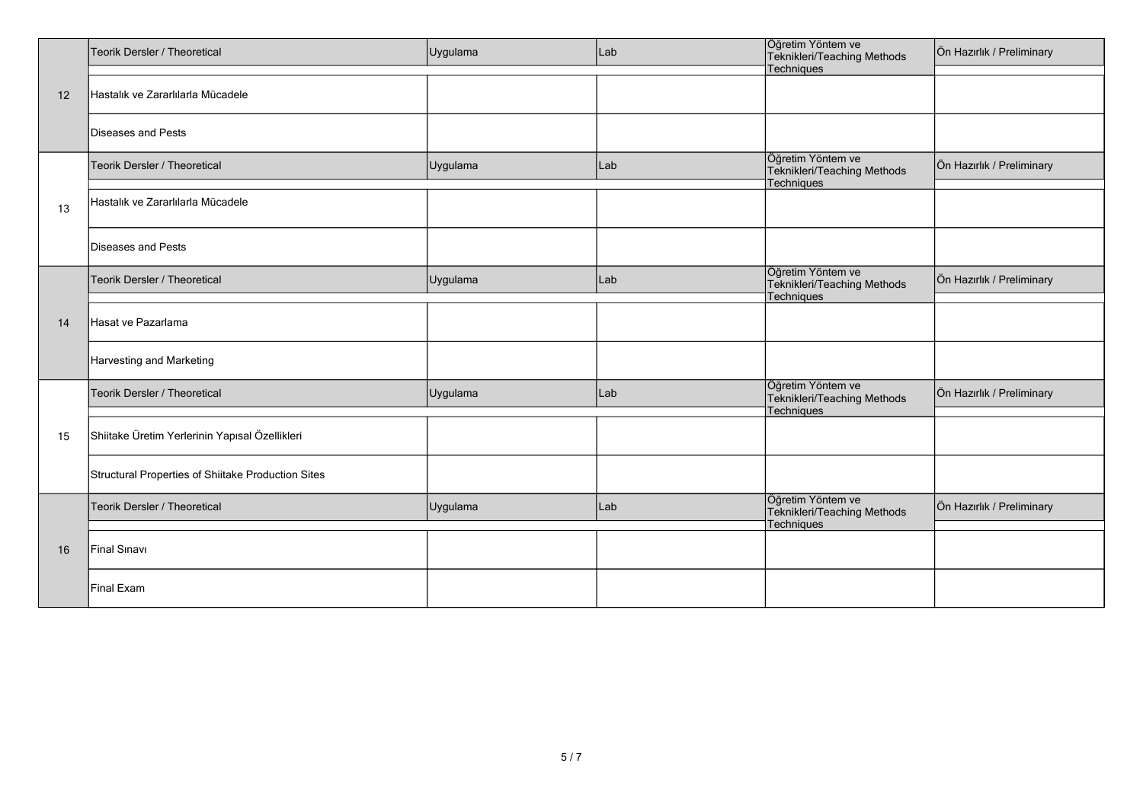|    | Teorik Dersler / Theoretical                       | Uygulama | Lab | Öğretim Yöntem ve<br>Teknikleri/Teaching Methods               | Ön Hazırlık / Preliminary |
|----|----------------------------------------------------|----------|-----|----------------------------------------------------------------|---------------------------|
| 12 | Hastalık ve Zararlılarla Mücadele                  |          |     | Techniques                                                     |                           |
|    | Diseases and Pests                                 |          |     |                                                                |                           |
|    | Teorik Dersler / Theoretical                       | Uygulama | Lab | Öğretim Yöntem ve<br>Teknikleri/Teaching Methods               | Ön Hazırlık / Preliminary |
| 13 | Hastalık ve Zararlılarla Mücadele                  |          |     | Techniques                                                     |                           |
|    | Diseases and Pests                                 |          |     |                                                                |                           |
| 14 | <b>Teorik Dersler / Theoretical</b>                | Uygulama | Lab | Öğretim Yöntem ve<br>Teknikleri/Teaching Methods               | Ön Hazırlık / Preliminary |
|    | Hasat ve Pazarlama                                 |          |     | Techniques                                                     |                           |
|    | Harvesting and Marketing                           |          |     |                                                                |                           |
|    | Teorik Dersler / Theoretical                       | Uygulama | Lab | Öğretim Yöntem ve<br>Teknikleri/Teaching Methods<br>Techniques | Ön Hazırlık / Preliminary |
| 15 | Shiitake Üretim Yerlerinin Yapısal Özellikleri     |          |     |                                                                |                           |
|    | Structural Properties of Shiitake Production Sites |          |     |                                                                |                           |
| 16 | Teorik Dersler / Theoretical                       | Uygulama | Lab | Öğretim Yöntem ve<br>Teknikleri/Teaching Methods<br>Techniques | Ön Hazırlık / Preliminary |
|    | Final Sinavi                                       |          |     |                                                                |                           |
|    | Final Exam                                         |          |     |                                                                |                           |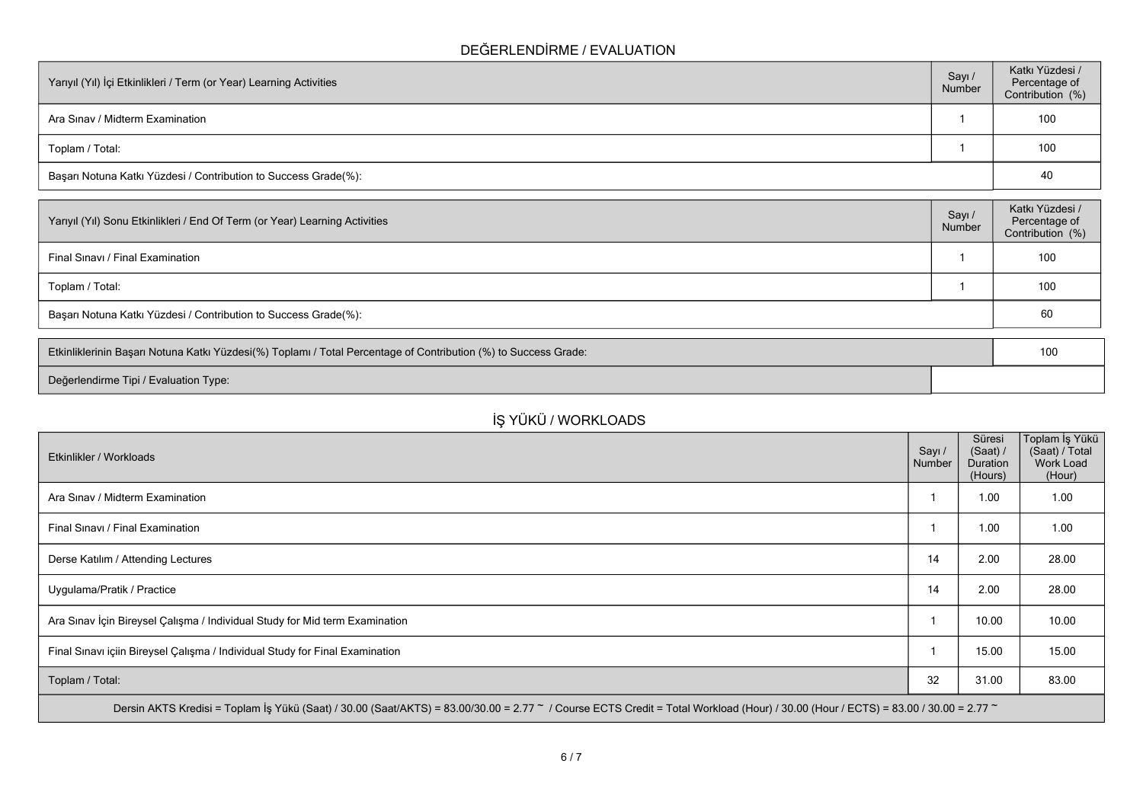### **DEĞERLENDİRME / EVALUATION**

| Yarıyıl (Yıl) İçi Etkinlikleri / Term (or Year) Learning Activities |  | Katkı Yüzdesi /<br>Percentage of<br>Contribution (%) |
|---------------------------------------------------------------------|--|------------------------------------------------------|
| Ara Sinav / Midterm Examination                                     |  | 100                                                  |
| Toplam / Total:                                                     |  | 100                                                  |
| Başarı Notuna Katkı Yüzdesi / Contribution to Success Grade(%):     |  | 40                                                   |

| Sayı/<br>Number                                                 | Katkı Yüzdesi /<br>Percentage of<br>Contribution (%) |  |  |
|-----------------------------------------------------------------|------------------------------------------------------|--|--|
|                                                                 | 100                                                  |  |  |
|                                                                 | 100                                                  |  |  |
| Başarı Notuna Katkı Yüzdesi / Contribution to Success Grade(%): |                                                      |  |  |
|                                                                 |                                                      |  |  |

| Etkinliklerinin Başarı Notuna Katkı Yüzdesi(%) Toplamı / Total Percentage of Contribution (%) to Success Grade: |  | 10 <sup>C</sup> |
|-----------------------------------------------------------------------------------------------------------------|--|-----------------|
| Değerlendirme Tipi / Evaluation Type:                                                                           |  |                 |

# **İŞ YÜKÜ / WORKLOADS**

| Etkinlikler / Workloads                                                                                                                                                                            | Sayı /<br>Number | Süresi<br>(Saat) /<br><b>Duration</b><br>(Hours) | Toplam İş Yükü<br>(Saat) / Total<br>Work Load<br>(Hour) |  |  |  |
|----------------------------------------------------------------------------------------------------------------------------------------------------------------------------------------------------|------------------|--------------------------------------------------|---------------------------------------------------------|--|--|--|
| Ara Sinav / Midterm Examination                                                                                                                                                                    |                  | 1.00                                             | 1.00                                                    |  |  |  |
| Final Sinavi / Final Examination                                                                                                                                                                   |                  | 1.00                                             | 1.00                                                    |  |  |  |
| Derse Katılım / Attending Lectures                                                                                                                                                                 | 14               | 2.00                                             | 28.00                                                   |  |  |  |
| Uygulama/Pratik / Practice                                                                                                                                                                         | 14               | 2.00                                             | 28.00                                                   |  |  |  |
| Ara Sınav İçin Bireysel Çalışma / Individual Study for Mid term Examination                                                                                                                        |                  | 10.00                                            | 10.00                                                   |  |  |  |
| Final Sinavi içiin Bireysel Çalışma / Individual Study for Final Examination                                                                                                                       |                  | 15.00                                            | 15.00                                                   |  |  |  |
| Toplam / Total:                                                                                                                                                                                    | 32               | 31.00                                            | 83.00                                                   |  |  |  |
| Dersin AKTS Kredisi = Toplam İş Yükü (Saat) / 30.00 (Saat/AKTS) = 83.00/30.00 = 2.77 $\degree$ / Course ECTS Credit = Total Workload (Hour) / 30.00 (Hour / ECTS) = 83.00 / 30.00 = 2.77 $\degree$ |                  |                                                  |                                                         |  |  |  |